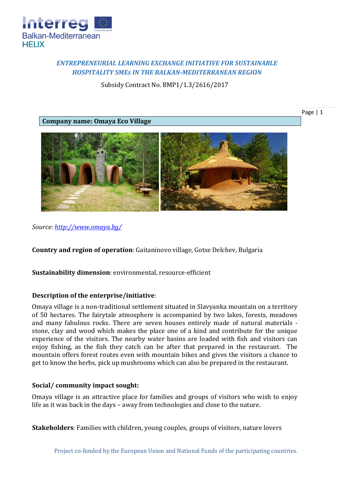

# *ENTREPRENEURIAL LEARNING EXCHANGE INITIATIVE FOR SUSTAINABLE HOSPITALITY SMEs IN THE BALKAN-MEDITERRANEAN REGION*

Subsidy Contract No. BMP1/1.3/2616/2017

**Company name: Omaya Eco Village**

Page | 1



*Source:<http://www.omaya.bg/>*

**Country and region of operation**: Gaitaninovo village, Gotse Delchev, Bulgaria

**Sustainability dimension**: environmental, resource-efficient

## **Description of the enterprise/initiative**:

Omaya village is a non-traditional settlement situated in Slavyanka mountain on a territory of 50 hectares. The fairytale atmosphere is accompanied by two lakes, forests, meadows and many fabulous rocks. There are seven houses entirely made of natural materials stone, clay and wood which makes the place one of a kind and contribute for the unique experience of the visitors. The nearby water basins are loaded with fish and visitors can enjoy fishing, as the fish they catch can be after that prepared in the restaurant. The mountain offers forest routes even with mountain bikes and gives the visitors a chance to get to know the herbs, pick up mushrooms which can also be prepared in the restaurant.

## **Social/ community impact sought:**

Omaya village is an attractive place for families and groups of visitors who wish to enjoy life as it was back in the days – away from technologies and close to the nature.

**Stakeholders**: Families with children, young couples, groups of visitors, nature lovers